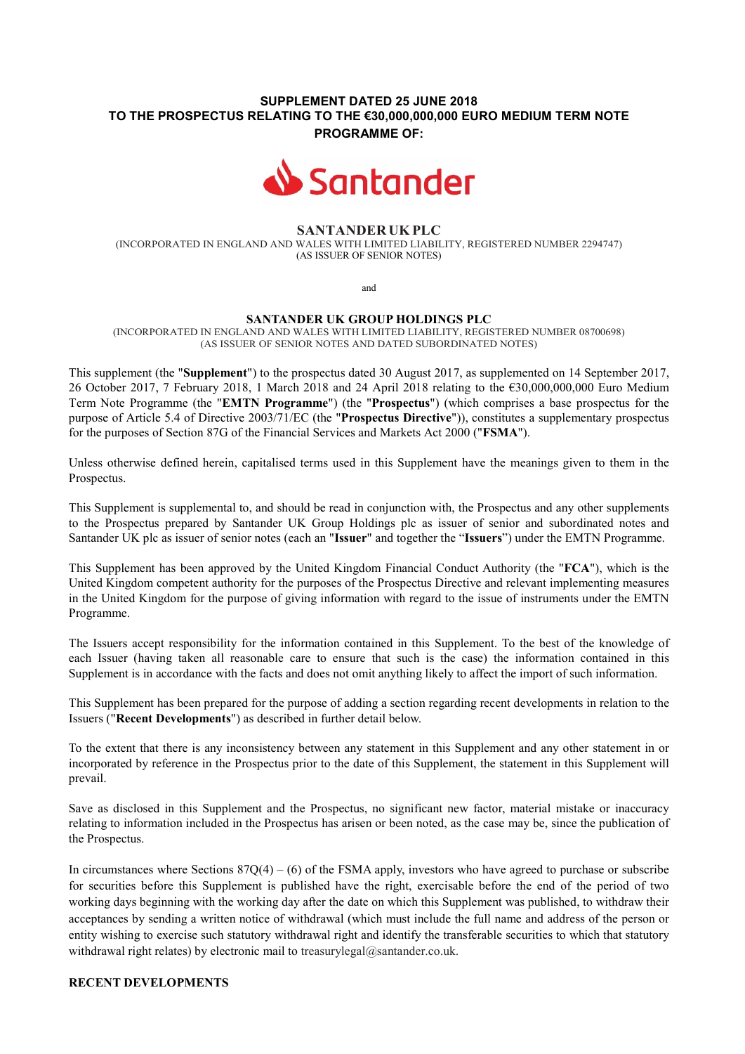# SUPPLEMENT DATED 25 JUNE 2018 TO THE PROSPECTUS RELATING TO THE €30,000,000,000 EURO MEDIUM TERM NOTE PROGRAMME OF:



### SANTANDER UK PLC

(INCORPORATED IN ENGLAND AND WALES WITH LIMITED LIABILITY, REGISTERED NUMBER 2294747) (AS ISSUER OF SENIOR NOTES)

and

#### SANTANDER UK GROUP HOLDINGS PLC

(INCORPORATED IN ENGLAND AND WALES WITH LIMITED LIABILITY, REGISTERED NUMBER 08700698) (AS ISSUER OF SENIOR NOTES AND DATED SUBORDINATED NOTES)

This supplement (the "Supplement") to the prospectus dated 30 August 2017, as supplemented on 14 September 2017, 26 October 2017, 7 February 2018, 1 March 2018 and 24 April 2018 relating to the €30,000,000,000 Euro Medium Term Note Programme (the "EMTN Programme") (the "Prospectus") (which comprises a base prospectus for the purpose of Article 5.4 of Directive 2003/71/EC (the "Prospectus Directive")), constitutes a supplementary prospectus for the purposes of Section 87G of the Financial Services and Markets Act 2000 ("FSMA").

Unless otherwise defined herein, capitalised terms used in this Supplement have the meanings given to them in the Prospectus.

This Supplement is supplemental to, and should be read in conjunction with, the Prospectus and any other supplements to the Prospectus prepared by Santander UK Group Holdings plc as issuer of senior and subordinated notes and Santander UK plc as issuer of senior notes (each an "Issuer" and together the "Issuers") under the EMTN Programme.

This Supplement has been approved by the United Kingdom Financial Conduct Authority (the "FCA"), which is the United Kingdom competent authority for the purposes of the Prospectus Directive and relevant implementing measures in the United Kingdom for the purpose of giving information with regard to the issue of instruments under the EMTN Programme.

The Issuers accept responsibility for the information contained in this Supplement. To the best of the knowledge of each Issuer (having taken all reasonable care to ensure that such is the case) the information contained in this Supplement is in accordance with the facts and does not omit anything likely to affect the import of such information.

This Supplement has been prepared for the purpose of adding a section regarding recent developments in relation to the Issuers ("Recent Developments") as described in further detail below.

To the extent that there is any inconsistency between any statement in this Supplement and any other statement in or incorporated by reference in the Prospectus prior to the date of this Supplement, the statement in this Supplement will prevail.

Save as disclosed in this Supplement and the Prospectus, no significant new factor, material mistake or inaccuracy relating to information included in the Prospectus has arisen or been noted, as the case may be, since the publication of the Prospectus.

In circumstances where Sections  $87Q(4) - (6)$  of the FSMA apply, investors who have agreed to purchase or subscribe for securities before this Supplement is published have the right, exercisable before the end of the period of two working days beginning with the working day after the date on which this Supplement was published, to withdraw their acceptances by sending a written notice of withdrawal (which must include the full name and address of the person or entity wishing to exercise such statutory withdrawal right and identify the transferable securities to which that statutory withdrawal right relates) by electronic mail to treasurylegal@santander.co.uk.

# RECENT DEVELOPMENTS